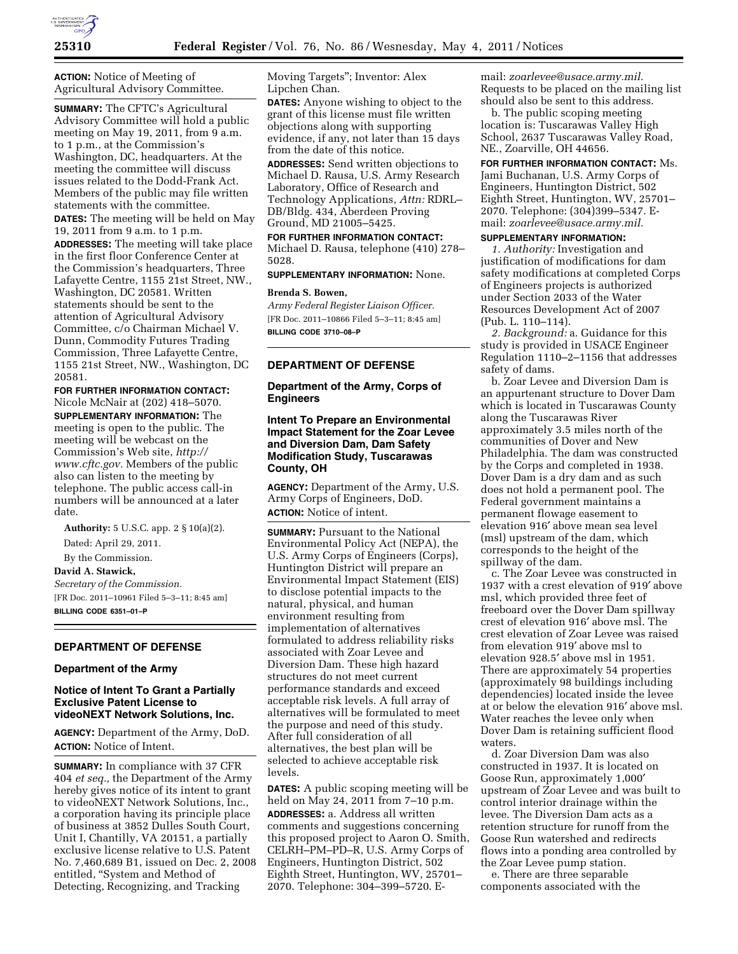

**ACTION:** Notice of Meeting of Agricultural Advisory Committee.

**SUMMARY:** The CFTC's Agricultural Advisory Committee will hold a public meeting on May 19, 2011, from 9 a.m. to 1 p.m., at the Commission's Washington, DC, headquarters. At the meeting the committee will discuss issues related to the Dodd-Frank Act. Members of the public may file written statements with the committee.

**DATES:** The meeting will be held on May 19, 2011 from 9 a.m. to 1 p.m.

**ADDRESSES:** The meeting will take place in the first floor Conference Center at the Commission's headquarters, Three Lafayette Centre, 1155 21st Street, NW., Washington, DC 20581. Written statements should be sent to the attention of Agricultural Advisory Committee, c/o Chairman Michael V. Dunn, Commodity Futures Trading Commission, Three Lafayette Centre, 1155 21st Street, NW., Washington, DC 20581.

**FOR FURTHER INFORMATION CONTACT:**  Nicole McNair at (202) 418–5070. **SUPPLEMENTARY INFORMATION:** The meeting is open to the public. The meeting will be webcast on the Commission's Web site, *[http://](http://www.cftc.gov) [www.cftc.gov.](http://www.cftc.gov)* Members of the public also can listen to the meeting by telephone. The public access call-in numbers will be announced at a later date.

**Authority:** 5 U.S.C. app. 2 § 10(a)(2).

Dated: April 29, 2011.

By the Commission.

**David A. Stawick,**  *Secretary of the Commission.*  [FR Doc. 2011–10961 Filed 5–3–11; 8:45 am] **BILLING CODE 6351–01–P** 

# **DEPARTMENT OF DEFENSE**

#### **Department of the Army**

### **Notice of Intent To Grant a Partially Exclusive Patent License to videoNEXT Network Solutions, Inc.**

**AGENCY:** Department of the Army, DoD. **ACTION:** Notice of Intent.

**SUMMARY:** In compliance with 37 CFR 404 *et seq.,* the Department of the Army hereby gives notice of its intent to grant to videoNEXT Network Solutions, Inc., a corporation having its principle place of business at 3852 Dulles South Court, Unit I, Chantilly, VA 20151, a partially exclusive license relative to U.S. Patent No. 7,460,689 B1, issued on Dec. 2, 2008 entitled, ''System and Method of Detecting, Recognizing, and Tracking

Moving Targets''; Inventor: Alex Lipchen Chan.

**DATES:** Anyone wishing to object to the grant of this license must file written objections along with supporting evidence, if any, not later than 15 days from the date of this notice.

**ADDRESSES:** Send written objections to Michael D. Rausa, U.S. Army Research Laboratory, Office of Research and Technology Applications, *Attn:* RDRL– DB/Bldg. 434, Aberdeen Proving Ground, MD 21005–5425.

**FOR FURTHER INFORMATION CONTACT:**  Michael D. Rausa, telephone (410) 278– 5028.

### **SUPPLEMENTARY INFORMATION:** None.

## **Brenda S. Bowen,**

*Army Federal Register Liaison Officer.*  [FR Doc. 2011–10866 Filed 5–3–11; 8:45 am] **BILLING CODE 3710–08–P** 

# **DEPARTMENT OF DEFENSE**

## **Department of the Army, Corps of Engineers**

## **Intent To Prepare an Environmental Impact Statement for the Zoar Levee and Diversion Dam, Dam Safety Modification Study, Tuscarawas County, OH**

**AGENCY:** Department of the Army, U.S. Army Corps of Engineers, DoD. **ACTION:** Notice of intent.

**SUMMARY:** Pursuant to the National Environmental Policy Act (NEPA), the U.S. Army Corps of Engineers (Corps), Huntington District will prepare an Environmental Impact Statement (EIS) to disclose potential impacts to the natural, physical, and human environment resulting from implementation of alternatives formulated to address reliability risks associated with Zoar Levee and Diversion Dam. These high hazard structures do not meet current performance standards and exceed acceptable risk levels. A full array of alternatives will be formulated to meet the purpose and need of this study. After full consideration of all alternatives, the best plan will be selected to achieve acceptable risk levels.

**DATES:** A public scoping meeting will be held on May 24, 2011 from 7–10 p.m. **ADDRESSES:** a. Address all written comments and suggestions concerning this proposed project to Aaron O. Smith, CELRH–PM–PD–R, U.S. Army Corps of Engineers, Huntington District, 502 Eighth Street, Huntington, WV, 25701– 2070. Telephone: 304–399–5720. E-

mail: *[zoarlevee@usace.army.mil.](mailto:zoarlevee@usace.army.mil)*  Requests to be placed on the mailing list should also be sent to this address.

b. The public scoping meeting location is: Tuscarawas Valley High School, 2637 Tuscarawas Valley Road, NE., Zoarville, OH 44656.

**FOR FURTHER INFORMATION CONTACT:** Ms. Jami Buchanan, U.S. Army Corps of Engineers, Huntington District, 502 Eighth Street, Huntington, WV, 25701– 2070. Telephone: (304)399–5347. Email: *[zoarlevee@usace.army.mil.](mailto:zoarlevee@usace.army.mil)* 

# **SUPPLEMENTARY INFORMATION:**

*1. Authority:* Investigation and justification of modifications for dam safety modifications at completed Corps of Engineers projects is authorized under Section 2033 of the Water Resources Development Act of 2007 (Pub. L. 110–114).

*2. Background:* a. Guidance for this study is provided in USACE Engineer Regulation 1110–2–1156 that addresses safety of dams.

b. Zoar Levee and Diversion Dam is an appurtenant structure to Dover Dam which is located in Tuscarawas County along the Tuscarawas River approximately 3.5 miles north of the communities of Dover and New Philadelphia. The dam was constructed by the Corps and completed in 1938. Dover Dam is a dry dam and as such does not hold a permanent pool. The Federal government maintains a permanent flowage easement to elevation 916′ above mean sea level (msl) upstream of the dam, which corresponds to the height of the spillway of the dam.

c. The Zoar Levee was constructed in 1937 with a crest elevation of 919′ above msl, which provided three feet of freeboard over the Dover Dam spillway crest of elevation 916′ above msl. The crest elevation of Zoar Levee was raised from elevation 919′ above msl to elevation 928.5′ above msl in 1951. There are approximately 54 properties (approximately 98 buildings including dependencies) located inside the levee at or below the elevation 916′ above msl. Water reaches the levee only when Dover Dam is retaining sufficient flood waters.

d. Zoar Diversion Dam was also constructed in 1937. It is located on Goose Run, approximately 1,000′ upstream of Zoar Levee and was built to control interior drainage within the levee. The Diversion Dam acts as a retention structure for runoff from the Goose Run watershed and redirects flows into a ponding area controlled by the Zoar Levee pump station.

e. There are three separable components associated with the